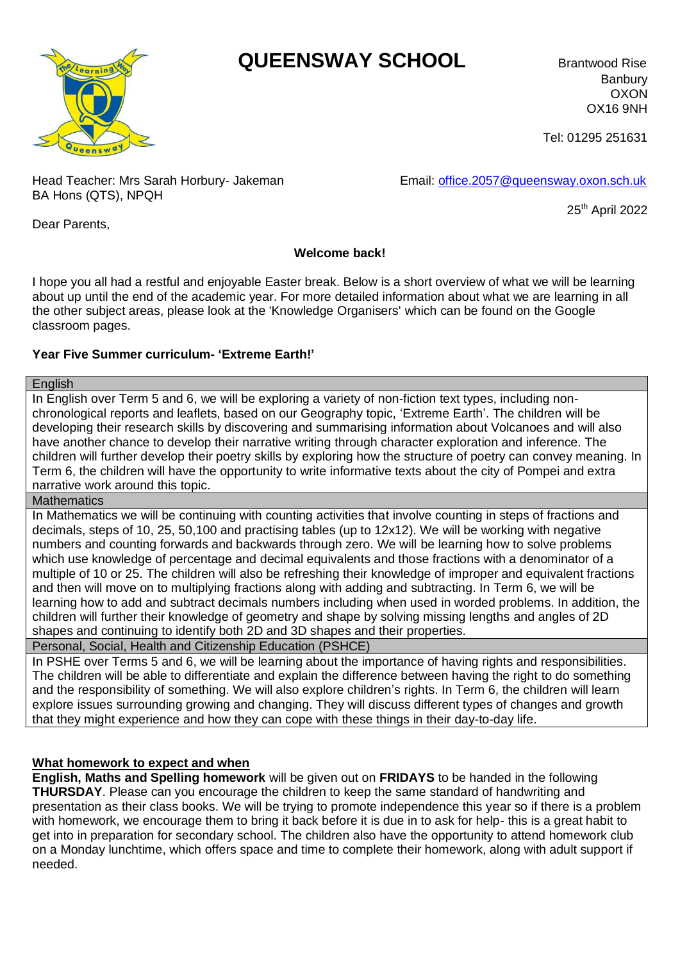# *Cearning* **QUEENSWAY SCHOOL** Brantwood Rise



Banbury OXON OX16 9NH

Tel: 01295 251631

Head Teacher: Mrs Sarah Horbury- Jakeman Email: [office.2057@queensway.oxon.sch.uk](mailto:office.2057@queensway.oxon.sch.uk) BA Hons (QTS), NPQH

25th April 2022

Dear Parents,

## **Welcome back!**

I hope you all had a restful and enjoyable Easter break. Below is a short overview of what we will be learning about up until the end of the academic year. For more detailed information about what we are learning in all the other subject areas, please look at the 'Knowledge Organisers' which can be found on the Google classroom pages.

# **Year Five Summer curriculum- 'Extreme Earth!'**

#### **English**

In English over Term 5 and 6, we will be exploring a variety of non-fiction text types, including nonchronological reports and leaflets, based on our Geography topic, 'Extreme Earth'. The children will be developing their research skills by discovering and summarising information about Volcanoes and will also have another chance to develop their narrative writing through character exploration and inference. The children will further develop their poetry skills by exploring how the structure of poetry can convey meaning. In Term 6, the children will have the opportunity to write informative texts about the city of Pompei and extra narrative work around this topic.

## **Mathematics**

In Mathematics we will be continuing with counting activities that involve counting in steps of fractions and decimals, steps of 10, 25, 50,100 and practising tables (up to 12x12). We will be working with negative numbers and counting forwards and backwards through zero. We will be learning how to solve problems which use knowledge of percentage and decimal equivalents and those fractions with a denominator of a multiple of 10 or 25. The children will also be refreshing their knowledge of improper and equivalent fractions and then will move on to multiplying fractions along with adding and subtracting. In Term 6, we will be learning how to add and subtract decimals numbers including when used in worded problems. In addition, the children will further their knowledge of geometry and shape by solving missing lengths and angles of 2D shapes and continuing to identify both 2D and 3D shapes and their properties.

Personal, Social, Health and Citizenship Education (PSHCE)

In PSHE over Terms 5 and 6, we will be learning about the importance of having rights and responsibilities. The children will be able to differentiate and explain the difference between having the right to do something and the responsibility of something. We will also explore children's rights. In Term 6, the children will learn explore issues surrounding growing and changing. They will discuss different types of changes and growth that they might experience and how they can cope with these things in their day-to-day life.

## **What homework to expect and when**

**English, Maths and Spelling homework** will be given out on **FRIDAYS** to be handed in the following **THURSDAY**. Please can you encourage the children to keep the same standard of handwriting and presentation as their class books. We will be trying to promote independence this year so if there is a problem with homework, we encourage them to bring it back before it is due in to ask for help- this is a great habit to get into in preparation for secondary school. The children also have the opportunity to attend homework club on a Monday lunchtime, which offers space and time to complete their homework, along with adult support if needed.